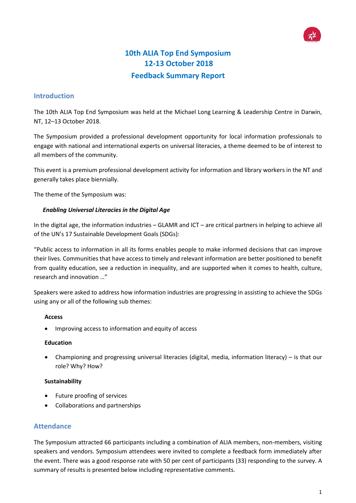# **10th ALIA Top End Symposium 12-13 October 2018 Feedback Summary Report**

## **Introduction**

The 10th ALIA Top End Symposium was held at the Michael Long Learning & Leadership Centre in Darwin, NT, 12–13 October 2018.

The Symposium provided a professional development opportunity for local information professionals to engage with national and international experts on universal literacies, a theme deemed to be of interest to all members of the community.

This event is a premium professional development activity for information and library workers in the NT and generally takes place biennially.

The theme of the Symposium was:

## *Enabling Universal Literacies in the Digital Age*

In the digital age, the information industries – GLAMR and ICT – are critical partners in helping to achieve all of the UN's 17 Sustainable Development Goals (SDGs):

"Public access to information in all its forms enables people to make informed decisions that can improve their lives. Communities that have access to timely and relevant information are better positioned to benefit from quality education, see a reduction in inequality, and are supported when it comes to health, culture, research and innovation …"

Speakers were asked to address how information industries are progressing in assisting to achieve the SDGs using any or all of the following sub themes:

#### **Access**

• Improving access to information and equity of access

#### **Education**

• Championing and progressing universal literacies (digital, media, information literacy) – is that our role? Why? How?

#### **Sustainability**

- Future proofing of services
- Collaborations and partnerships

## **Attendance**

The Symposium attracted 66 participants including a combination of ALIA members, non-members, visiting speakers and vendors. Symposium attendees were invited to complete a feedback form immediately after the event. There was a good response rate with 50 per cent of participants (33) responding to the survey. A summary of results is presented below including representative comments.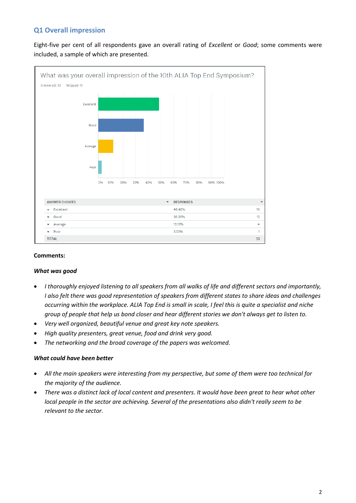# **Q1 Overall impression**

Eight-five per cent of all respondents gave an overall rating of *Excellent* or *Good*; some comments were included, a sample of which are presented.



#### **Comments:**

#### *What was good*

- *I thoroughly enjoyed listening to all speakers from all walks of life and different sectors and importantly, I also felt there was good representation of speakers from different states to share ideas and challenges occurring within the workplace. ALIA Top End is small in scale, I feel this is quite a specialist and niche group of people that help us bond closer and hear different stories we don't always get to listen to.*
- *Very well organized, beautiful venue and great key note speakers.*
- *High quality presenters, great venue, food and drink very good.*
- *The networking and the broad coverage of the papers was welcomed*.

#### *What could have been better*

- *All the main speakers were interesting from my perspective, but some of them were too technical for the majority of the audience.*
- *There was a distinct lack of local content and presenters. It would have been great to hear what other local people in the sector are achieving. Several of the presentations also didn't really seem to be relevant to the sector.*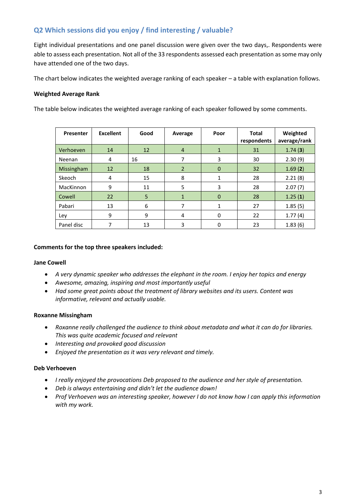# **Q2 Which sessions did you enjoy / find interesting / valuable?**

Eight individual presentations and one panel discussion were given over the two days,. Respondents were able to assess each presentation. Not all of the 33 respondents assessed each presentation as some may only have attended one of the two days.

The chart below indicates the weighted average ranking of each speaker – a table with explanation follows.

### **Weighted Average Rank**

The table below indicates the weighted average ranking of each speaker followed by some comments.

| Presenter  | <b>Excellent</b> | Good | Average        | Poor        | <b>Total</b><br>respondents | Weighted<br>average/rank |
|------------|------------------|------|----------------|-------------|-----------------------------|--------------------------|
| Verhoeven  | 14               | 12   | $\overline{4}$ | 1           | 31                          | 1.74(3)                  |
| Neenan     | 4                | 16   | 7              | 3           | 30                          | 2.30(9)                  |
| Missingham | 12               | 18   | $\overline{2}$ | $\mathbf 0$ | 32                          | 1.69(2)                  |
| Skeoch     | 4                | 15   | 8              | 1           | 28                          | 2.21(8)                  |
| MacKinnon  | 9                | 11   | 5              | 3           | 28                          | 2.07(7)                  |
| Cowell     | 22               | 5    | $\mathbf{1}$   | $\Omega$    | 28                          | 1.25(1)                  |
| Pabari     | 13               | 6    | 7              | 1           | 27                          | 1.85(5)                  |
| Ley        | 9                | 9    | 4              | 0           | 22                          | 1.77(4)                  |
| Panel disc |                  | 13   | 3              | 0           | 23                          | 1.83(6)                  |

#### **Comments for the top three speakers included:**

#### **Jane Cowell**

- *A very dynamic speaker who addresses the elephant in the room. I enjoy her topics and energy*
- *Awesome, amazing, inspiring and most importantly useful*
- *Had some great points about the treatment of library websites and its users. Content was informative, relevant and actually usable.*

#### **Roxanne Missingham**

- *Roxanne really challenged the audience to think about metadata and what it can do for libraries. This was quite academic focused and relevant*
- *Interesting and provoked good discussion*
- *Enjoyed the presentation as it was very relevant and timely.*

#### **Deb Verhoeven**

- *I really enjoyed the provocations Deb proposed to the audience and her style of presentation.*
- *Deb is always entertaining and didn't let the audience down!*
- *Prof Verhoeven was an interesting speaker, however I do not know how I can apply this information with my work.*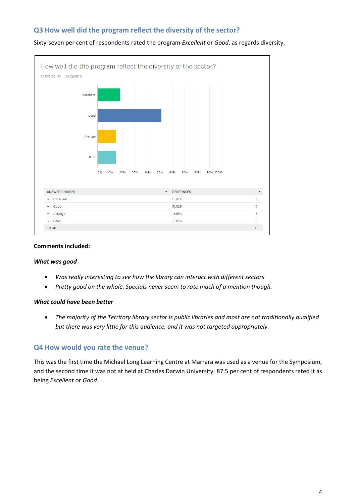# **Q3 How well did the program reflect the diversity of the sector?**



#### Sixty-seven per cent of respondents rated the program *Excellent* or *Good*, as regards diversity.

#### **Comments included:**

#### *What was good*

- *Was really interesting to see how the library can interact with different sectors*
- *Pretty good on the whole. Specials never seem to rate much of a mention though.*

#### *What could have been better*

• *The majority of the Territory library sector is public libraries and most are not traditionally qualified but there was very little for this audience, and it was not targeted appropriately.*

## **Q4 How would you rate the venue?**

This was the first time the Michael Long Learning Centre at Marrara was used as a venue for the Symposium, and the second time it was not at held at Charles Darwin University. 87.5 per cent of respondents rated it as being *Excellent* or *Good*.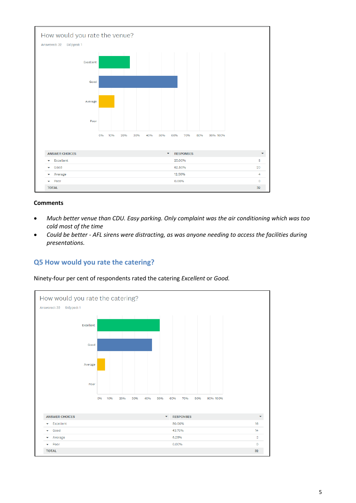

#### **Comments**

- *Much better venue than CDU. Easy parking. Only complaint was the air conditioning which was too cold most of the time*
- *Could be better - AFL sirens were distracting, as was anyone needing to access the facilities during presentations.*

# **Q5 How would you rate the catering?**

Ninety-four per cent of respondents rated the catering *Excellent* or *Good.*

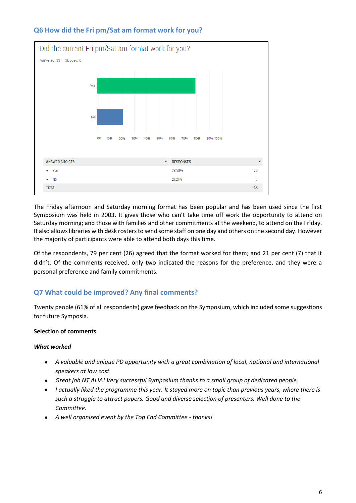

# **Q6 How did the Fri pm/Sat am format work for you?**

The Friday afternoon and Saturday morning format has been popular and has been used since the first Symposium was held in 2003. It gives those who can't take time off work the opportunity to attend on Saturday morning; and those with families and other commitments at the weekend, to attend on the Friday. It also allows libraries with desk rosters to send some staff on one day and others on the second day. However the majority of participants were able to attend both days this time.

Of the respondents, 79 per cent (26) agreed that the format worked for them; and 21 per cent (7) that it didn't. Of the comments received, only two indicated the reasons for the preference, and they were a personal preference and family commitments.

# **Q7 What could be improved? Any final comments?**

Twenty people (61% of all respondents) gave feedback on the Symposium, which included some suggestions for future Symposia.

## **Selection of comments**

## *What worked*

- *A valuable and unique PD opportunity with a great combination of local, national and international speakers at low cost*
- *Great job NT ALIA! Very successful Symposium thanks to a small group of dedicated people.*
- *I actually liked the programme this year. It stayed more on topic than previous years, where there is such a struggle to attract papers. Good and diverse selection of presenters. Well done to the Committee.*
- *A well organised event by the Top End Committee - thanks!*